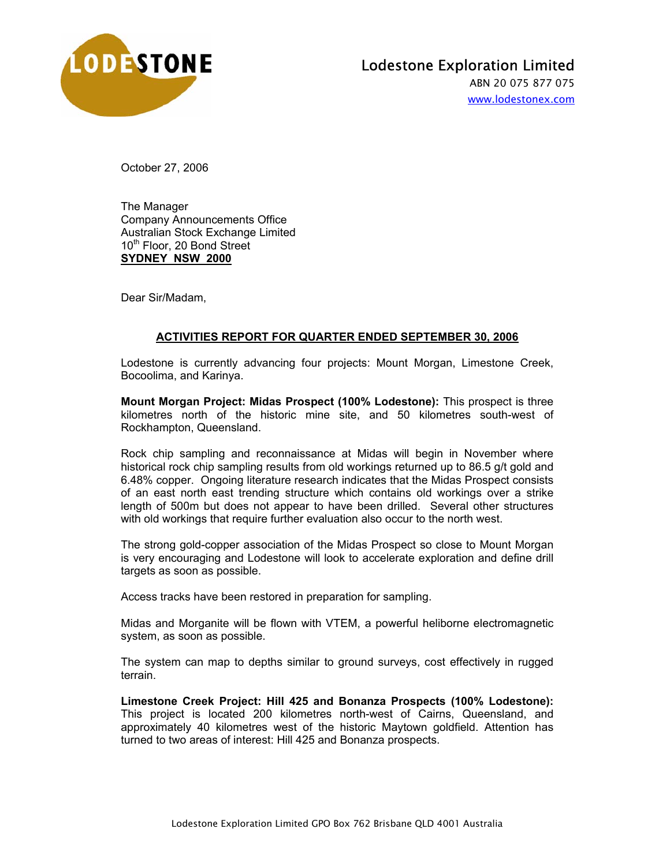

ABN 20 075 877 075 www.lodestonex.com

October 27, 2006

The Manager Company Announcements Office Australian Stock Exchange Limited 10<sup>th</sup> Floor, 20 Bond Street **SYDNEY NSW 2000**

Dear Sir/Madam,

## **ACTIVITIES REPORT FOR QUARTER ENDED SEPTEMBER 30, 2006**

Lodestone is currently advancing four projects: Mount Morgan, Limestone Creek, Bocoolima, and Karinya.

**Mount Morgan Project: Midas Prospect (100% Lodestone):** This prospect is three kilometres north of the historic mine site, and 50 kilometres south-west of Rockhampton, Queensland.

Rock chip sampling and reconnaissance at Midas will begin in November where historical rock chip sampling results from old workings returned up to 86.5 g/t gold and 6.48% copper. Ongoing literature research indicates that the Midas Prospect consists of an east north east trending structure which contains old workings over a strike length of 500m but does not appear to have been drilled. Several other structures with old workings that require further evaluation also occur to the north west.

The strong gold-copper association of the Midas Prospect so close to Mount Morgan is very encouraging and Lodestone will look to accelerate exploration and define drill targets as soon as possible.

Access tracks have been restored in preparation for sampling.

Midas and Morganite will be flown with VTEM, a powerful heliborne electromagnetic system, as soon as possible.

The system can map to depths similar to ground surveys, cost effectively in rugged terrain.

**Limestone Creek Project: Hill 425 and Bonanza Prospects (100% Lodestone):**  This project is located 200 kilometres north-west of Cairns, Queensland, and approximately 40 kilometres west of the historic Maytown goldfield. Attention has turned to two areas of interest: Hill 425 and Bonanza prospects.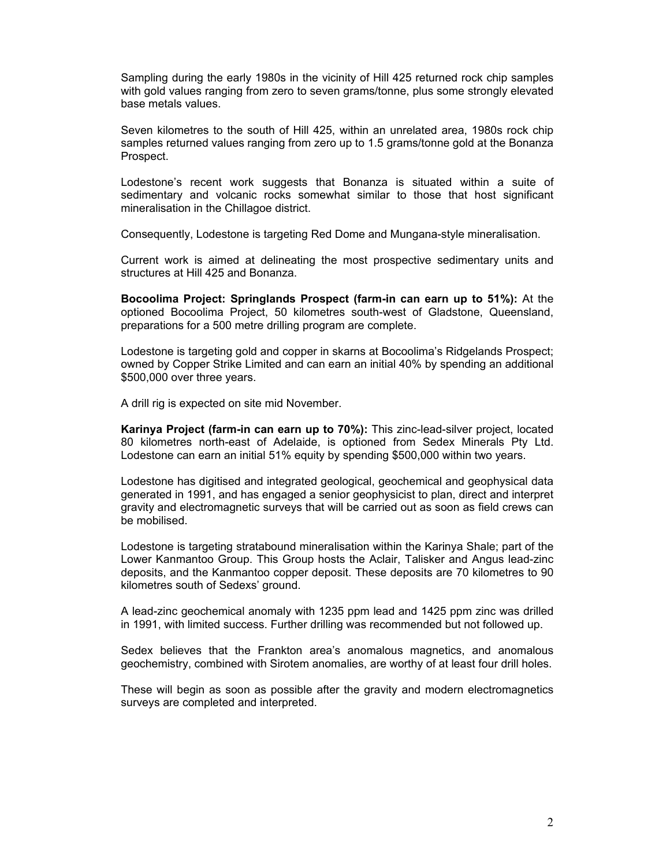Sampling during the early 1980s in the vicinity of Hill 425 returned rock chip samples with gold values ranging from zero to seven grams/tonne, plus some strongly elevated base metals values.

Seven kilometres to the south of Hill 425, within an unrelated area, 1980s rock chip samples returned values ranging from zero up to 1.5 grams/tonne gold at the Bonanza Prospect.

Lodestone's recent work suggests that Bonanza is situated within a suite of sedimentary and volcanic rocks somewhat similar to those that host significant mineralisation in the Chillagoe district.

Consequently, Lodestone is targeting Red Dome and Mungana-style mineralisation.

Current work is aimed at delineating the most prospective sedimentary units and structures at Hill 425 and Bonanza.

**Bocoolima Project: Springlands Prospect (farm-in can earn up to 51%):** At the optioned Bocoolima Project, 50 kilometres south-west of Gladstone, Queensland, preparations for a 500 metre drilling program are complete.

Lodestone is targeting gold and copper in skarns at Bocoolima's Ridgelands Prospect; owned by Copper Strike Limited and can earn an initial 40% by spending an additional \$500,000 over three years.

A drill rig is expected on site mid November.

**Karinya Project (farm-in can earn up to 70%):** This zinc-lead-silver project, located 80 kilometres north-east of Adelaide, is optioned from Sedex Minerals Pty Ltd. Lodestone can earn an initial 51% equity by spending \$500,000 within two years.

Lodestone has digitised and integrated geological, geochemical and geophysical data generated in 1991, and has engaged a senior geophysicist to plan, direct and interpret gravity and electromagnetic surveys that will be carried out as soon as field crews can be mobilised.

Lodestone is targeting stratabound mineralisation within the Karinya Shale; part of the Lower Kanmantoo Group. This Group hosts the Aclair, Talisker and Angus lead-zinc deposits, and the Kanmantoo copper deposit. These deposits are 70 kilometres to 90 kilometres south of Sedexs' ground.

A lead-zinc geochemical anomaly with 1235 ppm lead and 1425 ppm zinc was drilled in 1991, with limited success. Further drilling was recommended but not followed up.

Sedex believes that the Frankton area's anomalous magnetics, and anomalous geochemistry, combined with Sirotem anomalies, are worthy of at least four drill holes.

These will begin as soon as possible after the gravity and modern electromagnetics surveys are completed and interpreted.